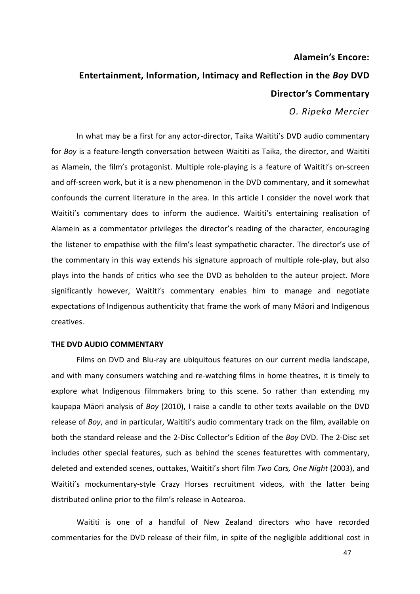# **Alamein's Encore:**

# **Entertainment, Information, Intimacy and Reflection in the** *Boy* **DVD Director's Commentary**

*O. Ripeka Mercier*

In what may be a first for any actor-director, Taika Waititi's DVD audio commentary for *Boy* is a feature-length conversation between Waititi as Taika, the director, and Waititi as Alamein, the film's protagonist. Multiple role-playing is a feature of Waititi's on-screen and off-screen work, but it is a new phenomenon in the DVD commentary, and it somewhat confounds the current literature in the area. In this article I consider the novel work that Waititi's commentary does to inform the audience. Waititi's entertaining realisation of Alamein as a commentator privileges the director's reading of the character, encouraging the listener to empathise with the film's least sympathetic character. The director's use of the commentary in this way extends his signature approach of multiple role-play, but also plays into the hands of critics who see the DVD as beholden to the auteur project. More significantly however, Waititi's commentary enables him to manage and negotiate expectations of Indigenous authenticity that frame the work of many Maori and Indigenous creatives. 

## **THE DVD AUDIO COMMENTARY**

Films on DVD and Blu-ray are ubiquitous features on our current media landscape, and with many consumers watching and re-watching films in home theatres, it is timely to explore what Indigenous filmmakers bring to this scene. So rather than extending my kaupapa Māori analysis of *Boy* (2010), I raise a candle to other texts available on the DVD release of *Boy*, and in particular, Waititi's audio commentary track on the film, available on both the standard release and the 2-Disc Collector's Edition of the *Boy* DVD. The 2-Disc set includes other special features, such as behind the scenes featurettes with commentary, deleted and extended scenes, outtakes, Waititi's short film *Two Cars, One Night* (2003), and Waititi's mockumentary-style Crazy Horses recruitment videos, with the latter being distributed online prior to the film's release in Aotearoa.

Waititi is one of a handful of New Zealand directors who have recorded commentaries for the DVD release of their film, in spite of the negligible additional cost in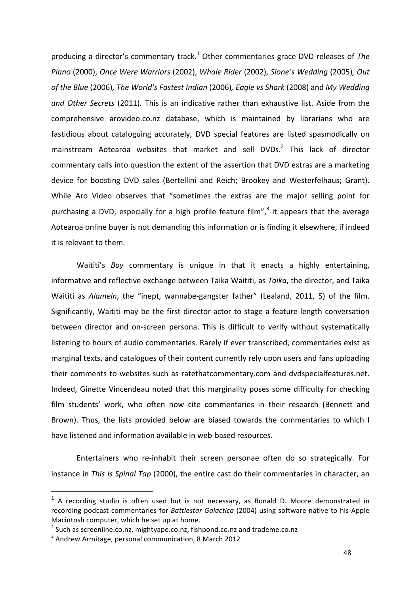producing a director's commentary track.<sup>1</sup> Other commentaries grace DVD releases of The *Piano* (2000), *Once Were Warriors* (2002), *Whale Rider* (2002), *Sione's Wedding* (2005), *Out of the Blue* (2006), The World's Fastest Indian (2006), Eagle vs Shark (2008) and My Wedding *and Other Secrets* (2011). This is an indicative rather than exhaustive list. Aside from the comprehensive arovideo.co.nz database, which is maintained by librarians who are fastidious about cataloguing accurately, DVD special features are listed spasmodically on mainstream Aotearoa websites that market and sell DVDs.<sup>2</sup> This lack of director commentary calls into question the extent of the assertion that DVD extras are a marketing device for boosting DVD sales (Bertellini and Reich; Brookey and Westerfelhaus; Grant). While Aro Video observes that "sometimes the extras are the major selling point for purchasing a DVD, especially for a high profile feature film",<sup>3</sup> it appears that the average Aotearoa online buyer is not demanding this information or is finding it elsewhere, if indeed it is relevant to them.

Waititi's *Boy* commentary is unique in that it enacts a highly entertaining, informative and reflective exchange between Taika Waititi, as *Taika*, the director, and Taika Waititi as *Alamein*, the "inept, wannabe-gangster father" (Lealand, 2011, 5) of the film. Significantly, Waititi may be the first director-actor to stage a feature-length conversation between director and on-screen persona. This is difficult to verify without systematically listening to hours of audio commentaries. Rarely if ever transcribed, commentaries exist as marginal texts, and catalogues of their content currently rely upon users and fans uploading their comments to websites such as ratethatcommentary.com and dvdspecialfeatures.net. Indeed, Ginette Vincendeau noted that this marginality poses some difficulty for checking film students' work, who often now cite commentaries in their research (Bennett and Brown). Thus, the lists provided below are biased towards the commentaries to which I have listened and information available in web-based resources.

Entertainers who re-inhabit their screen personae often do so strategically. For instance in *This Is Spinal Tap* (2000), the entire cast do their commentaries in character, an

 $1$  A recording studio is often used but is not necessary, as Ronald D. Moore demonstrated in recording podcast commentaries for *Battlestar Galactica* (2004) using software native to his Apple Macintosh computer, which he set up at home.

 $2$  Such as screenline.co.nz, mightyape.co.nz, fishpond.co.nz and trademe.co.nz

 $3$  Andrew Armitage, personal communication, 8 March 2012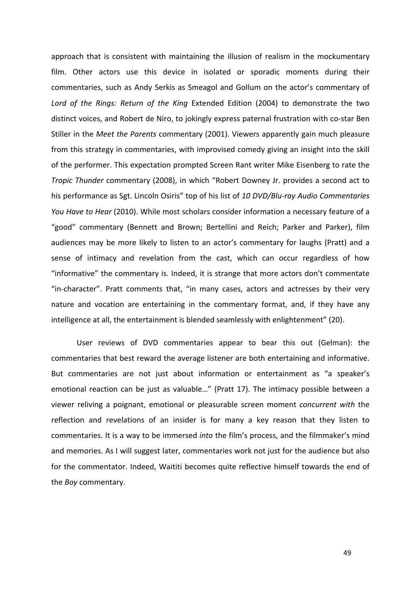approach that is consistent with maintaining the illusion of realism in the mockumentary film. Other actors use this device in isolated or sporadic moments during their commentaries, such as Andy Serkis as Smeagol and Gollum on the actor's commentary of Lord of the Rings: Return of the King Extended Edition (2004) to demonstrate the two distinct voices, and Robert de Niro, to jokingly express paternal frustration with co-star Ben Stiller in the Meet the Parents commentary (2001). Viewers apparently gain much pleasure from this strategy in commentaries, with improvised comedy giving an insight into the skill of the performer. This expectation prompted Screen Rant writer Mike Eisenberg to rate the *Tropic Thunder* commentary (2008), in which "Robert Downey Jr. provides a second act to his performance as Sgt. Lincoln Osiris" top of his list of 10 DVD/Blu-ray Audio Commentaries *You Have to Hear* (2010). While most scholars consider information a necessary feature of a "good" commentary (Bennett and Brown; Bertellini and Reich; Parker and Parker), film audiences may be more likely to listen to an actor's commentary for laughs (Pratt) and a sense of intimacy and revelation from the cast, which can occur regardless of how "informative" the commentary is. Indeed, it is strange that more actors don't commentate "in-character". Pratt comments that, "in many cases, actors and actresses by their very nature and vocation are entertaining in the commentary format, and, if they have any intelligence at all, the entertainment is blended seamlessly with enlightenment" (20).

User reviews of DVD commentaries appear to bear this out (Gelman): the commentaries that best reward the average listener are both entertaining and informative. But commentaries are not just about information or entertainment as "a speaker's emotional reaction can be just as valuable..." (Pratt 17). The intimacy possible between a viewer reliving a poignant, emotional or pleasurable screen moment *concurrent* with the reflection and revelations of an insider is for many a key reason that they listen to commentaries. It is a way to be immersed *into* the film's process, and the filmmaker's mind and memories. As I will suggest later, commentaries work not just for the audience but also for the commentator. Indeed, Waititi becomes quite reflective himself towards the end of the *Boy* commentary.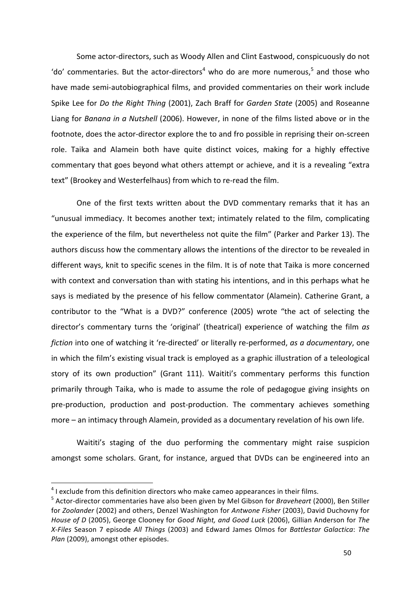Some actor-directors, such as Woody Allen and Clint Eastwood, conspicuously do not 'do' commentaries. But the actor-directors<sup>4</sup> who do are more numerous,<sup>5</sup> and those who have made semi-autobiographical films, and provided commentaries on their work include Spike Lee for *Do the Right Thing* (2001), Zach Braff for *Garden State* (2005) and Roseanne Liang for *Banana in a Nutshell* (2006). However, in none of the films listed above or in the footnote, does the actor-director explore the to and fro possible in reprising their on-screen role. Taika and Alamein both have quite distinct voices, making for a highly effective commentary that goes beyond what others attempt or achieve, and it is a revealing "extra text" (Brookey and Westerfelhaus) from which to re-read the film.

One of the first texts written about the DVD commentary remarks that it has an "unusual immediacy. It becomes another text; intimately related to the film, complicating the experience of the film, but nevertheless not quite the film" (Parker and Parker 13). The authors discuss how the commentary allows the intentions of the director to be revealed in different ways, knit to specific scenes in the film. It is of note that Taika is more concerned with context and conversation than with stating his intentions, and in this perhaps what he says is mediated by the presence of his fellow commentator (Alamein). Catherine Grant, a contributor to the "What is a DVD?" conference (2005) wrote "the act of selecting the director's commentary turns the 'original' (theatrical) experience of watching the film as *fiction* into one of watching it 're-directed' or literally re-performed, *as a documentary*, one in which the film's existing visual track is employed as a graphic illustration of a teleological story of its own production" (Grant 111). Waititi's commentary performs this function primarily through Taika, who is made to assume the role of pedagogue giving insights on pre-production, production and post-production. The commentary achieves something more – an intimacy through Alamein, provided as a documentary revelation of his own life.

Waititi's staging of the duo performing the commentary might raise suspicion amongst some scholars. Grant, for instance, argued that DVDs can be engineered into an

 $4$  I exclude from this definition directors who make cameo appearances in their films.

<sup>&</sup>lt;sup>5</sup> Actor-director commentaries have also been given by Mel Gibson for *Braveheart* (2000), Ben Stiller for *Zoolander* (2002) and others, Denzel Washington for *Antwone Fisher* (2003), David Duchovny for *House of D* (2005), George Clooney for *Good Night, and Good Luck* (2006), Gillian Anderson for *The X-Files*  Season 7 episode *All Things* (2003) and Edward James Olmos for *Battlestar Galactica*: *The Plan* (2009), amongst other episodes.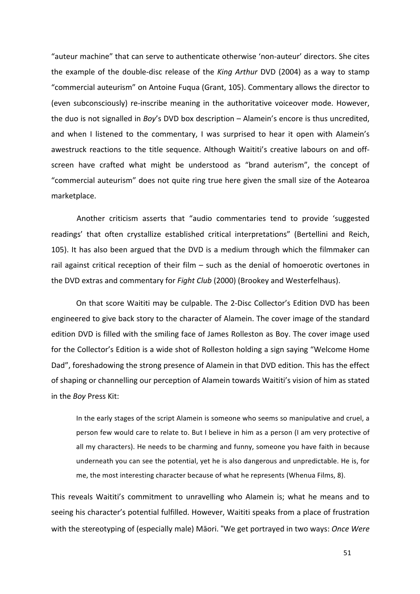"auteur machine" that can serve to authenticate otherwise 'non-auteur' directors. She cites the example of the double-disc release of the *King Arthur* DVD (2004) as a way to stamp "commercial auteurism" on Antoine Fuqua (Grant, 105). Commentary allows the director to (even subconsciously) re-inscribe meaning in the authoritative voiceover mode. However, the duo is not signalled in *Boy's* DVD box description - Alamein's encore is thus uncredited, and when I listened to the commentary, I was surprised to hear it open with Alamein's awestruck reactions to the title sequence. Although Waititi's creative labours on and offscreen have crafted what might be understood as "brand auterism", the concept of "commercial auteurism" does not quite ring true here given the small size of the Aotearoa marketplace. 

Another criticism asserts that "audio commentaries tend to provide 'suggested readings' that often crystallize established critical interpretations" (Bertellini and Reich, 105). It has also been argued that the DVD is a medium through which the filmmaker can rail against critical reception of their film  $-$  such as the denial of homoerotic overtones in the DVD extras and commentary for *Fight Club* (2000) (Brookey and Westerfelhaus).

On that score Waititi may be culpable. The 2-Disc Collector's Edition DVD has been engineered to give back story to the character of Alamein. The cover image of the standard edition DVD is filled with the smiling face of James Rolleston as Boy. The cover image used for the Collector's Edition is a wide shot of Rolleston holding a sign saying "Welcome Home Dad", foreshadowing the strong presence of Alamein in that DVD edition. This has the effect of shaping or channelling our perception of Alamein towards Waititi's vision of him as stated in the *Boy* Press Kit:

In the early stages of the script Alamein is someone who seems so manipulative and cruel, a person few would care to relate to. But I believe in him as a person (I am very protective of all my characters). He needs to be charming and funny, someone you have faith in because underneath you can see the potential, yet he is also dangerous and unpredictable. He is, for me, the most interesting character because of what he represents (Whenua Films, 8).

This reveals Waititi's commitment to unravelling who Alamein is; what he means and to seeing his character's potential fulfilled. However, Waititi speaks from a place of frustration with the stereotyping of (especially male) Māori. "We get portrayed in two ways: Once Were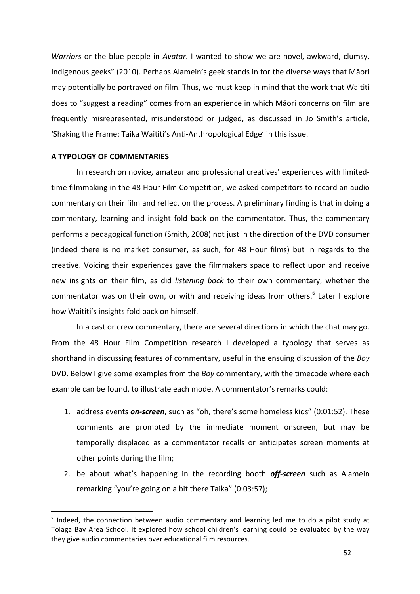*Warriors* or the blue people in *Avatar*. I wanted to show we are novel, awkward, clumsy, Indigenous geeks" (2010). Perhaps Alamein's geek stands in for the diverse ways that Māori may potentially be portrayed on film. Thus, we must keep in mind that the work that Waititi does to "suggest a reading" comes from an experience in which Māori concerns on film are frequently misrepresented, misunderstood or judged, as discussed in Jo Smith's article, 'Shaking the Frame: Taika Waititi's Anti-Anthropological Edge' in this issue.

## **A TYPOLOGY OF COMMENTARIES**

 

In research on novice, amateur and professional creatives' experiences with limitedtime filmmaking in the 48 Hour Film Competition, we asked competitors to record an audio commentary on their film and reflect on the process. A preliminary finding is that in doing a commentary, learning and insight fold back on the commentator. Thus, the commentary performs a pedagogical function (Smith, 2008) not just in the direction of the DVD consumer (indeed there is no market consumer, as such, for 48 Hour films) but in regards to the creative. Voicing their experiences gave the filmmakers space to reflect upon and receive new insights on their film, as did *listening back* to their own commentary, whether the commentator was on their own, or with and receiving ideas from others.<sup>6</sup> Later I explore how Waititi's insights fold back on himself.

In a cast or crew commentary, there are several directions in which the chat may go. From the 48 Hour Film Competition research I developed a typology that serves as shorthand in discussing features of commentary, useful in the ensuing discussion of the *Boy* DVD. Below I give some examples from the *Boy* commentary, with the timecode where each example can be found, to illustrate each mode. A commentator's remarks could:

- 1. address events **on-screen**, such as "oh, there's some homeless kids" (0:01:52). These comments are prompted by the immediate moment onscreen, but may be temporally displaced as a commentator recalls or anticipates screen moments at other points during the film;
- 2. be about what's happening in the recording booth off-screen such as Alamein remarking "you're going on a bit there Taika" (0:03:57);

 $6$  Indeed, the connection between audio commentary and learning led me to do a pilot study at Tolaga Bay Area School. It explored how school children's learning could be evaluated by the way they give audio commentaries over educational film resources.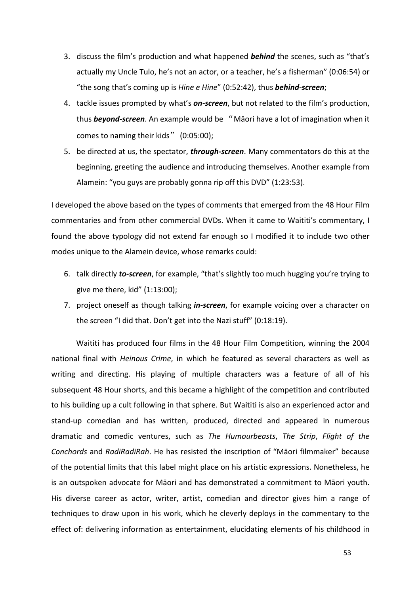- 3. discuss the film's production and what happened **behind** the scenes, such as "that's actually my Uncle Tulo, he's not an actor, or a teacher, he's a fisherman" (0:06:54) or "the song that's coming up is *Hine e Hine*" (0:52:42), thus **behind-screen**;
- 4. tackle issues prompted by what's **on-screen**, but not related to the film's production, thus **beyond-screen**. An example would be "Māori have a lot of imagination when it comes to naming their kids" (0:05:00);
- 5. be directed at us, the spectator, **through-screen**. Many commentators do this at the beginning, greeting the audience and introducing themselves. Another example from Alamein: "you guys are probably gonna rip off this DVD" (1:23:53).

I developed the above based on the types of comments that emerged from the 48 Hour Film commentaries and from other commercial DVDs. When it came to Waititi's commentary, I found the above typology did not extend far enough so I modified it to include two other modes unique to the Alamein device, whose remarks could:

- 6. talk directly **to-screen**, for example, "that's slightly too much hugging you're trying to give me there, kid"  $(1:13:00)$ ;
- 7. project oneself as though talking *in-screen*, for example voicing over a character on the screen "I did that. Don't get into the Nazi stuff" (0:18:19).

Waititi has produced four films in the 48 Hour Film Competition, winning the 2004 national final with *Heinous Crime*, in which he featured as several characters as well as writing and directing. His playing of multiple characters was a feature of all of his subsequent 48 Hour shorts, and this became a highlight of the competition and contributed to his building up a cult following in that sphere. But Waititi is also an experienced actor and stand-up comedian and has written, produced, directed and appeared in numerous dramatic and comedic ventures, such as *The Humourbeasts*, *The Strip*, *Flight of the Conchords* and *RadiRadiRah*. He has resisted the inscription of "Māori filmmaker" because of the potential limits that this label might place on his artistic expressions. Nonetheless, he is an outspoken advocate for Māori and has demonstrated a commitment to Māori youth. His diverse career as actor, writer, artist, comedian and director gives him a range of techniques to draw upon in his work, which he cleverly deploys in the commentary to the effect of: delivering information as entertainment, elucidating elements of his childhood in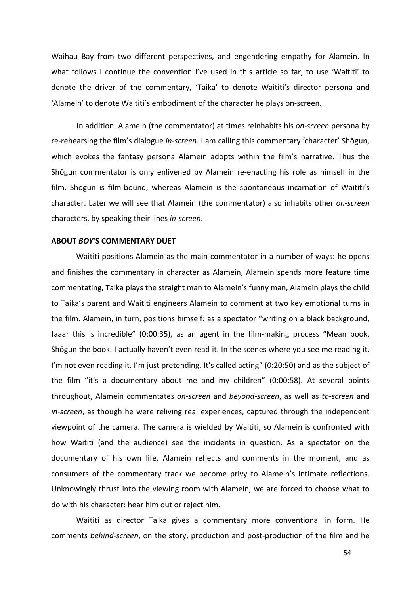Waihau Bay from two different perspectives, and engendering empathy for Alamein. In what follows I continue the convention I've used in this article so far, to use 'Waititi' to denote the driver of the commentary, 'Taika' to denote Waititi's director persona and 'Alamein' to denote Waititi's embodiment of the character he plays on-screen.

In addition, Alamein (the commentator) at times reinhabits his *on-screen* persona by re-rehearsing the film's dialogue *in-screen*. I am calling this commentary 'character' Shōgun, which evokes the fantasy persona Alamein adopts within the film's narrative. Thus the Shōgun commentator is only enlivened by Alamein re-enacting his role as himself in the film. Shōgun is film-bound, whereas Alamein is the spontaneous incarnation of Waititi's character. Later we will see that Alamein (the commentator) also inhabits other *on-screen* characters, by speaking their lines *in-screen*. 

### **ABOUT** *BOY***'S COMMENTARY DUET**

Waititi positions Alamein as the main commentator in a number of ways: he opens and finishes the commentary in character as Alamein, Alamein spends more feature time commentating, Taika plays the straight man to Alamein's funny man, Alamein plays the child to Taika's parent and Waititi engineers Alamein to comment at two key emotional turns in the film. Alamein, in turn, positions himself: as a spectator "writing on a black background, faaar this is incredible" (0:00:35), as an agent in the film-making process "Mean book, Shōgun the book. I actually haven't even read it. In the scenes where you see me reading it, I'm not even reading it. I'm just pretending. It's called acting" (0:20:50) and as the subject of the film "it's a documentary about me and my children" (0:00:58). At several points throughout, Alamein commentates *on-screen* and *beyond-screen*, as well as *to-screen* and *in-screen*, as though he were reliving real experiences, captured through the independent viewpoint of the camera. The camera is wielded by Waititi, so Alamein is confronted with how Waititi (and the audience) see the incidents in question. As a spectator on the documentary of his own life, Alamein reflects and comments in the moment, and as consumers of the commentary track we become privy to Alamein's intimate reflections. Unknowingly thrust into the viewing room with Alamein, we are forced to choose what to do with his character: hear him out or reject him.

Waititi as director Taika gives a commentary more conventional in form. He comments *behind-screen*, on the story, production and post-production of the film and he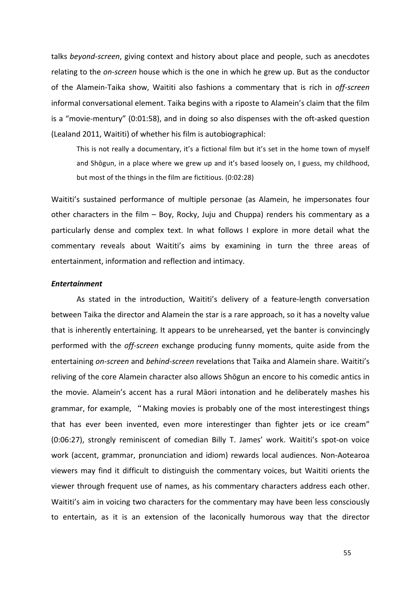talks *beyond-screen*, giving context and history about place and people, such as anecdotes relating to the *on-screen* house which is the one in which he grew up. But as the conductor of the Alamein-Taika show, Waititi also fashions a commentary that is rich in off-screen informal conversational element. Taika begins with a riposte to Alamein's claim that the film is a "movie-mentury"  $(0.01:58)$ , and in doing so also dispenses with the oft-asked question (Lealand 2011, Waititi) of whether his film is autobiographical:

This is not really a documentary, it's a fictional film but it's set in the home town of myself and Shōgun, in a place where we grew up and it's based loosely on, I guess, my childhood, but most of the things in the film are fictitious. (0:02:28)

Waititi's sustained performance of multiple personae (as Alamein, he impersonates four other characters in the film  $-$  Boy, Rocky, Juju and Chuppa) renders his commentary as a particularly dense and complex text. In what follows I explore in more detail what the commentary reveals about Waititi's aims by examining in turn the three areas of entertainment, information and reflection and intimacy.

# *Entertainment*

As stated in the introduction, Waititi's delivery of a feature-length conversation between Taika the director and Alamein the star is a rare approach, so it has a novelty value that is inherently entertaining. It appears to be unrehearsed, yet the banter is convincingly performed with the *off-screen* exchange producing funny moments, quite aside from the entertaining on-screen and behind-screen revelations that Taika and Alamein share. Waititi's reliving of the core Alamein character also allows Shōgun an encore to his comedic antics in the movie. Alamein's accent has a rural Māori intonation and he deliberately mashes his grammar, for example, "Making movies is probably one of the most interestingest things that has ever been invented, even more interestinger than fighter jets or ice cream" (0:06:27), strongly reminiscent of comedian Billy T. James' work. Waititi's spot-on voice work (accent, grammar, pronunciation and idiom) rewards local audiences. Non-Aotearoa viewers may find it difficult to distinguish the commentary voices, but Waititi orients the viewer through frequent use of names, as his commentary characters address each other. Waititi's aim in voicing two characters for the commentary may have been less consciously to entertain, as it is an extension of the laconically humorous way that the director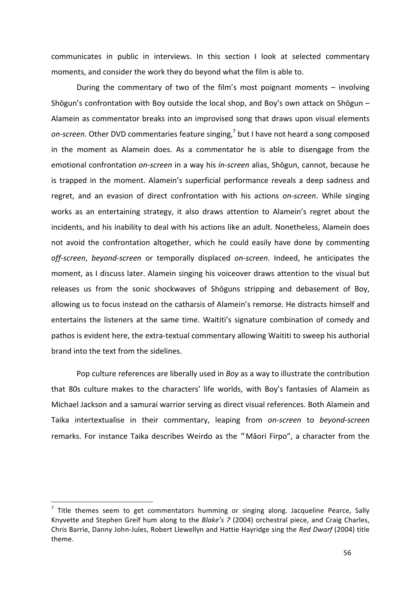communicates in public in interviews. In this section I look at selected commentary moments, and consider the work they do beyond what the film is able to.

During the commentary of two of the film's most poignant moments  $-$  involving Shōgun's confrontation with Boy outside the local shop, and Boy's own attack on Shōgun  $-$ Alamein as commentator breaks into an improvised song that draws upon visual elements on-screen. Other DVD commentaries feature singing,<sup>7</sup> but I have not heard a song composed in the moment as Alamein does. As a commentator he is able to disengage from the emotional confrontation on-screen in a way his in-screen alias, Shōgun, cannot, because he is trapped in the moment. Alamein's superficial performance reveals a deep sadness and regret, and an evasion of direct confrontation with his actions on-screen. While singing works as an entertaining strategy, it also draws attention to Alamein's regret about the incidents, and his inability to deal with his actions like an adult. Nonetheless, Alamein does not avoid the confrontation altogether, which he could easily have done by commenting off-screen, beyond-screen or temporally displaced on-screen. Indeed, he anticipates the moment, as I discuss later. Alamein singing his voiceover draws attention to the visual but releases us from the sonic shockwaves of Shōguns stripping and debasement of Boy, allowing us to focus instead on the catharsis of Alamein's remorse. He distracts himself and entertains the listeners at the same time. Waititi's signature combination of comedy and pathos is evident here, the extra-textual commentary allowing Waititi to sweep his authorial brand into the text from the sidelines.

Pop culture references are liberally used in *Boy* as a way to illustrate the contribution that 80s culture makes to the characters' life worlds, with Boy's fantasies of Alamein as Michael Jackson and a samurai warrior serving as direct visual references. Both Alamein and Taika intertextualise in their commentary, leaping from *on-screen* to *beyond-screen* remarks. For instance Taika describes Weirdo as the "Māori Firpo", a character from the

 $7$  Title themes seem to get commentators humming or singing along. Jacqueline Pearce, Sally Knyvette and Stephen Greif hum along to the *Blake's* 7 (2004) orchestral piece, and Craig Charles, Chris Barrie, Danny John-Jules, Robert Llewellyn and Hattie Hayridge sing the *Red Dwarf* (2004) title theme.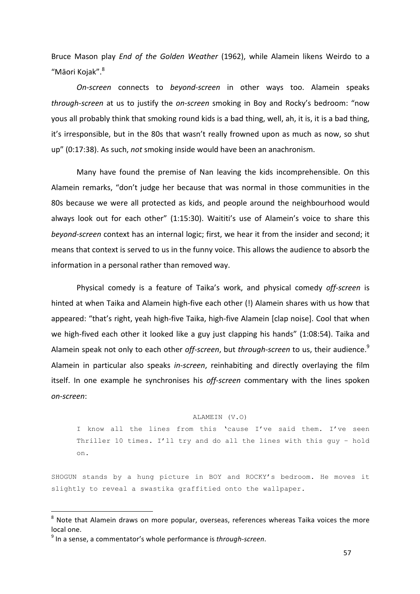Bruce Mason play *End of the Golden Weather* (1962), while Alamein likens Weirdo to a "Māori Kojak".<sup>8</sup>

*On-screen*  connects to *beyond-screen*  in other ways too. Alamein speaks *through-screen* at us to justify the *on-screen* smoking in Boy and Rocky's bedroom: "now yous all probably think that smoking round kids is a bad thing, well, ah, it is, it is a bad thing, it's irresponsible, but in the 80s that wasn't really frowned upon as much as now, so shut up" (0:17:38). As such, *not* smoking inside would have been an anachronism.

Many have found the premise of Nan leaving the kids incomprehensible. On this Alamein remarks, "don't judge her because that was normal in those communities in the 80s because we were all protected as kids, and people around the neighbourhood would always look out for each other" (1:15:30). Waititi's use of Alamein's voice to share this *beyond-screen* context has an internal logic; first, we hear it from the insider and second; it means that context is served to us in the funny voice. This allows the audience to absorb the information in a personal rather than removed way.

Physical comedy is a feature of Taika's work, and physical comedy off-screen is hinted at when Taika and Alamein high-five each other (!) Alamein shares with us how that appeared: "that's right, yeah high-five Taika, high-five Alamein [clap noise]. Cool that when we high-fived each other it looked like a guy just clapping his hands" (1:08:54). Taika and Alamein speak not only to each other *off-screen*, but through-screen to us, their audience.<sup>9</sup> Alamein in particular also speaks *in-screen*, reinhabiting and directly overlaying the film itself. In one example he synchronises his *off-screen* commentary with the lines spoken *on-screen*: 

#### ALAMEIN (V.O)

I know all the lines from this 'cause I've said them. I've seen Thriller 10 times. I'll try and do all the lines with this guy – hold on.

SHOGUN stands by a hung picture in BOY and ROCKY's bedroom. He moves it slightly to reveal a swastika graffitied onto the wallpaper.

 $8$  Note that Alamein draws on more popular, overseas, references whereas Taika voices the more local one.

<sup>&</sup>lt;sup>9</sup> In a sense, a commentator's whole performance is *through-screen*.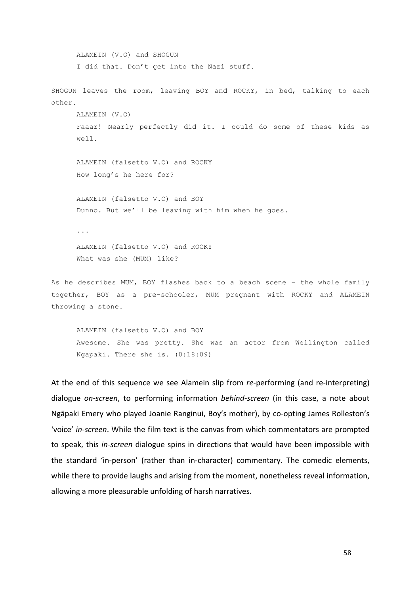ALAMEIN (V.O) and SHOGUN I did that. Don't get into the Nazi stuff. SHOGUN leaves the room, leaving BOY and ROCKY, in bed, talking to each other. ALAMEIN (V.O) Faaar! Nearly perfectly did it. I could do some of these kids as well. ALAMEIN (falsetto V.O) and ROCKY How long's he here for? ALAMEIN (falsetto V.O) and BOY Dunno. But we'll be leaving with him when he goes. ... ALAMEIN (falsetto V.O) and ROCKY What was she (MUM) like? As he describes MUM, BOY flashes back to a beach scene – the whole family together, BOY as a pre-schooler, MUM pregnant with ROCKY and ALAMEIN throwing a stone.

ALAMEIN (falsetto V.O) and BOY Awesome. She was pretty. She was an actor from Wellington called Ngapaki. There she is. (0:18:09)

At the end of this sequence we see Alamein slip from *re-performing* (and re-interpreting) dialogue *on-screen*, to performing information *behind-screen* (in this case, a note about Ngāpaki Emery who played Joanie Ranginui, Boy's mother), by co-opting James Rolleston's 'voice' in-screen. While the film text is the canvas from which commentators are prompted to speak, this *in-screen* dialogue spins in directions that would have been impossible with the standard 'in-person' (rather than in-character) commentary. The comedic elements, while there to provide laughs and arising from the moment, nonetheless reveal information, allowing a more pleasurable unfolding of harsh narratives.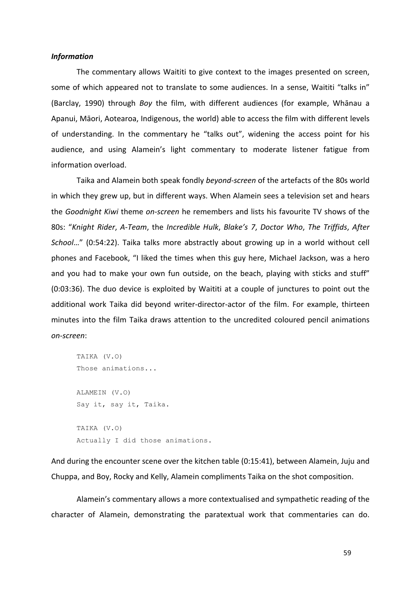#### *Information*

The commentary allows Waititi to give context to the images presented on screen, some of which appeared not to translate to some audiences. In a sense, Waititi "talks in" (Barclay, 1990) through *Boy* the film, with different audiences (for example, Whānau a Apanui, Māori, Aotearoa, Indigenous, the world) able to access the film with different levels of understanding. In the commentary he "talks out", widening the access point for his audience, and using Alamein's light commentary to moderate listener fatigue from information overload.

Taika and Alamein both speak fondly *beyond-screen* of the artefacts of the 80s world in which they grew up, but in different ways. When Alamein sees a television set and hears the *Goodnight Kiwi* theme on-screen he remembers and lists his favourite TV shows of the 80s: "Knight Rider, A-Team, the Incredible Hulk, Blake's 7, Doctor Who, The Triffids, After *School..."* (0:54:22). Taika talks more abstractly about growing up in a world without cell phones and Facebook, "I liked the times when this guy here, Michael Jackson, was a hero and you had to make your own fun outside, on the beach, playing with sticks and stuff" (0:03:36). The duo device is exploited by Waititi at a couple of junctures to point out the additional work Taika did beyond writer-director-actor of the film. For example, thirteen minutes into the film Taika draws attention to the uncredited coloured pencil animations *on-screen*:

```
TAIKA (V.O)
Those animations... 
ALAMEIN (V.O)
Say it, say it, Taika. 
TAIKA (V.O)
Actually I did those animations.
```
And during the encounter scene over the kitchen table (0:15:41), between Alamein, Juju and Chuppa, and Boy, Rocky and Kelly, Alamein compliments Taika on the shot composition.

Alamein's commentary allows a more contextualised and sympathetic reading of the character of Alamein, demonstrating the paratextual work that commentaries can do.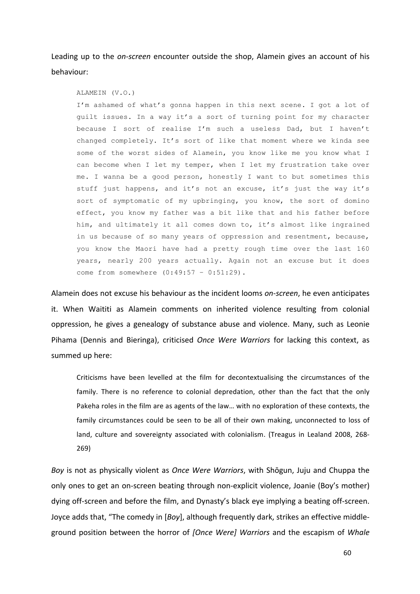Leading up to the *on-screen* encounter outside the shop, Alamein gives an account of his behaviour:

ALAMEIN (V.O.)

I'm ashamed of what's gonna happen in this next scene. I got a lot of guilt issues. In a way it's a sort of turning point for my character because I sort of realise I'm such a useless Dad, but I haven't changed completely. It's sort of like that moment where we kinda see some of the worst sides of Alamein, you know like me you know what I can become when I let my temper, when I let my frustration take over me. I wanna be a good person, honestly I want to but sometimes this stuff just happens, and it's not an excuse, it's just the way it's sort of symptomatic of my upbringing, you know, the sort of domino effect, you know my father was a bit like that and his father before him, and ultimately it all comes down to, it's almost like ingrained in us because of so many years of oppression and resentment, because, you know the Maori have had a pretty rough time over the last 160 years, nearly 200 years actually. Again not an excuse but it does come from somewhere (0:49:57 – 0:51:29).

Alamein does not excuse his behaviour as the incident looms *on-screen*, he even anticipates it. When Waititi as Alamein comments on inherited violence resulting from colonial oppression, he gives a genealogy of substance abuse and violence. Many, such as Leonie Pihama (Dennis and Bieringa), criticised *Once Were Warriors* for lacking this context, as summed up here:

Criticisms have been levelled at the film for decontextualising the circumstances of the family. There is no reference to colonial depredation, other than the fact that the only Pakeha roles in the film are as agents of the law... with no exploration of these contexts, the family circumstances could be seen to be all of their own making, unconnected to loss of land, culture and sovereignty associated with colonialism. (Treagus in Lealand 2008, 268-269)

*Boy* is not as physically violent as *Once Were Warriors*, with Shōgun, Juju and Chuppa the only ones to get an on-screen beating through non-explicit violence, Joanie (Boy's mother) dying off-screen and before the film, and Dynasty's black eye implying a beating off-screen. Joyce adds that, "The comedy in [*Boy*], although frequently dark, strikes an effective middleground position between the horror of *[Once Were] Warriors* and the escapism of *Whale*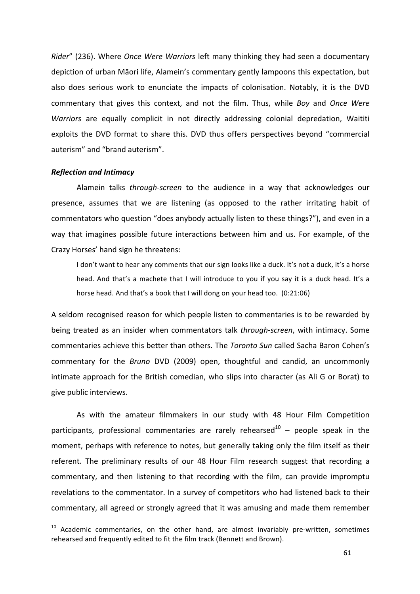*Rider"* (236). Where *Once Were Warriors* left many thinking they had seen a documentary depiction of urban Māori life, Alamein's commentary gently lampoons this expectation, but also does serious work to enunciate the impacts of colonisation. Notably, it is the DVD commentary that gives this context, and not the film. Thus, while *Boy* and *Once Were* Warriors are equally complicit in not directly addressing colonial depredation, Waititi exploits the DVD format to share this. DVD thus offers perspectives beyond "commercial auterism" and "brand auterism".

#### *Reflection and Intimacy*

 

Alamein talks *through-screen* to the audience in a way that acknowledges our presence, assumes that we are listening (as opposed to the rather irritating habit of commentators who question "does anybody actually listen to these things?"), and even in a way that imagines possible future interactions between him and us. For example, of the Crazy Horses' hand sign he threatens:

I don't want to hear any comments that our sign looks like a duck. It's not a duck, it's a horse head. And that's a machete that I will introduce to you if you say it is a duck head. It's a horse head. And that's a book that I will dong on your head too. (0:21:06)

A seldom recognised reason for which people listen to commentaries is to be rewarded by being treated as an insider when commentators talk *through-screen*, with intimacy. Some commentaries achieve this better than others. The *Toronto Sun* called Sacha Baron Cohen's commentary for the *Bruno* DVD (2009) open, thoughtful and candid, an uncommonly intimate approach for the British comedian, who slips into character (as Ali G or Borat) to give public interviews.

As with the amateur filmmakers in our study with 48 Hour Film Competition participants, professional commentaries are rarely rehearsed<sup>10</sup> – people speak in the moment, perhaps with reference to notes, but generally taking only the film itself as their referent. The preliminary results of our 48 Hour Film research suggest that recording a commentary, and then listening to that recording with the film, can provide impromptu revelations to the commentator. In a survey of competitors who had listened back to their commentary, all agreed or strongly agreed that it was amusing and made them remember

 $10$  Academic commentaries, on the other hand, are almost invariably pre-written, sometimes rehearsed and frequently edited to fit the film track (Bennett and Brown).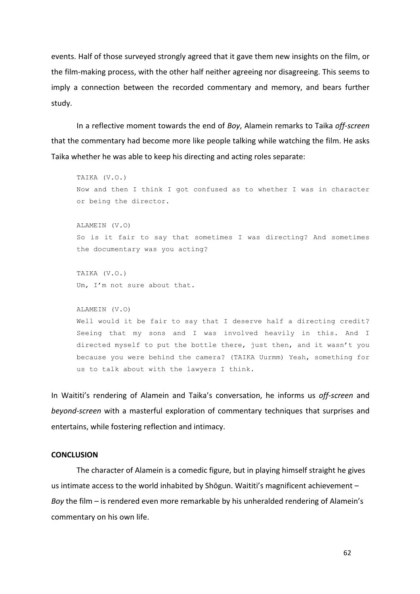events. Half of those surveyed strongly agreed that it gave them new insights on the film, or the film-making process, with the other half neither agreeing nor disagreeing. This seems to imply a connection between the recorded commentary and memory, and bears further study.

In a reflective moment towards the end of *Boy*, Alamein remarks to Taika *off-screen* that the commentary had become more like people talking while watching the film. He asks Taika whether he was able to keep his directing and acting roles separate:

TAIKA (V.O.) Now and then I think I got confused as to whether I was in character or being the director. ALAMEIN (V.O) So is it fair to say that sometimes I was directing? And sometimes the documentary was you acting? TAIKA (V.O.) Um, I'm not sure about that. ALAMEIN (V.O) Well would it be fair to say that I deserve half a directing credit? Seeing that my sons and I was involved heavily in this. And I directed myself to put the bottle there, just then, and it wasn't you because you were behind the camera? (TAIKA Uurmm) Yeah, something for us to talk about with the lawyers I think.

In Waititi's rendering of Alamein and Taika's conversation, he informs us off-screen and *beyond-screen* with a masterful exploration of commentary techniques that surprises and entertains, while fostering reflection and intimacy.

## **CONCLUSION**

The character of Alamein is a comedic figure, but in playing himself straight he gives us intimate access to the world inhabited by Shōgun. Waititi's magnificent achievement -*Boy* the film – is rendered even more remarkable by his unheralded rendering of Alamein's commentary on his own life.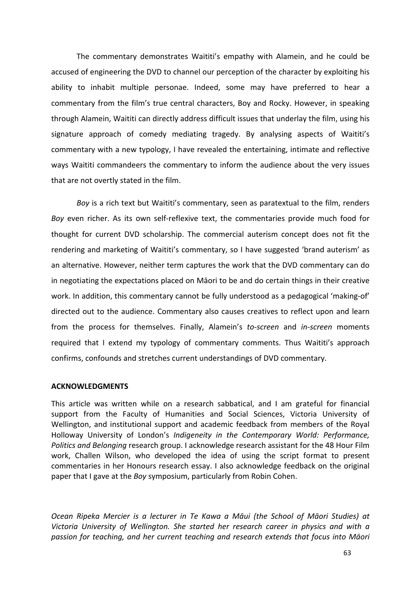The commentary demonstrates Waititi's empathy with Alamein, and he could be accused of engineering the DVD to channel our perception of the character by exploiting his ability to inhabit multiple personae. Indeed, some may have preferred to hear a commentary from the film's true central characters, Boy and Rocky. However, in speaking through Alamein, Waititi can directly address difficult issues that underlay the film, using his signature approach of comedy mediating tragedy. By analysing aspects of Waititi's commentary with a new typology, I have revealed the entertaining, intimate and reflective ways Waititi commandeers the commentary to inform the audience about the very issues that are not overtly stated in the film.

*Boy* is a rich text but Waititi's commentary, seen as paratextual to the film, renders *Boy* even richer. As its own self-reflexive text, the commentaries provide much food for thought for current DVD scholarship. The commercial auterism concept does not fit the rendering and marketing of Waititi's commentary, so I have suggested 'brand auterism' as an alternative. However, neither term captures the work that the DVD commentary can do in negotiating the expectations placed on Māori to be and do certain things in their creative work. In addition, this commentary cannot be fully understood as a pedagogical 'making-of' directed out to the audience. Commentary also causes creatives to reflect upon and learn from the process for themselves. Finally, Alamein's to-screen and *in-screen* moments required that I extend my typology of commentary comments. Thus Waititi's approach confirms, confounds and stretches current understandings of DVD commentary.

# **ACKNOWLEDGMENTS**

This article was written while on a research sabbatical, and I am grateful for financial support from the Faculty of Humanities and Social Sciences, Victoria University of Wellington, and institutional support and academic feedback from members of the Royal Holloway University of London's *Indigeneity in the Contemporary World: Performance*, *Politics and Belonging* research group. I acknowledge research assistant for the 48 Hour Film work, Challen Wilson, who developed the idea of using the script format to present commentaries in her Honours research essay. I also acknowledge feedback on the original paper that I gave at the *Boy* symposium, particularly from Robin Cohen.

*Ocean Ripeka Mercier is a lecturer in Te Kawa a Māui (the School of Māori Studies) at*  Victoria University of Wellington. She started her research career in physics and with a passion for teaching, and her current teaching and research extends that focus into Māori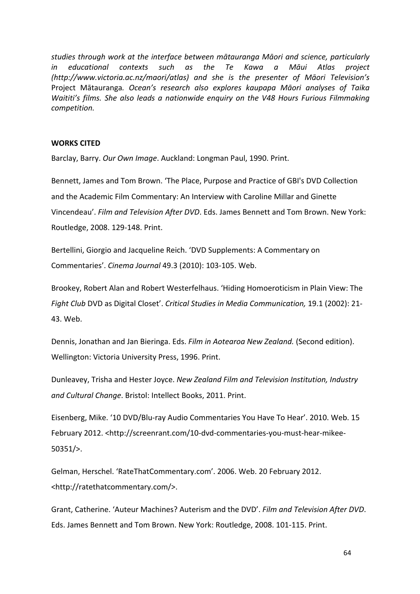studies through work at the interface between mātauranga Māori and science, particularly *in* educational contexts such as the Te Kawa a Māui Atlas project *(http://www.victoria.ac.nz/maori/atlas) and she is the presenter of Māori Television's*  Project Mātauranga. Ocean's research also explores kaupapa Māori analyses of Taika *Waititi's* films. She also leads a nationwide enauiry on the V48 Hours Furious Filmmaking *competition.*

# **WORKS CITED**

Barclay, Barry. Our Own Image. Auckland: Longman Paul, 1990. Print.

Bennett, James and Tom Brown. 'The Place, Purpose and Practice of GBI's DVD Collection and the Academic Film Commentary: An Interview with Caroline Millar and Ginette Vincendeau'. Film and Television After DVD. Eds. James Bennett and Tom Brown. New York: Routledge, 2008. 129-148. Print.

Bertellini, Giorgio and Jacqueline Reich. 'DVD Supplements: A Commentary on Commentaries'. *Cinema Journal* 49.3 (2010): 103-105. Web.

Brookey, Robert Alan and Robert Westerfelhaus. 'Hiding Homoeroticism in Plain View: The *Fight Club* DVD as Digital Closet'. *Critical Studies in Media Communication*, 19.1 (2002): 21-43. Web.

Dennis, Jonathan and Jan Bieringa. Eds. *Film in Aotearoa New Zealand*. (Second edition). Wellington: Victoria University Press, 1996. Print.

Dunleavey, Trisha and Hester Joyce. New Zealand Film and Television Institution, Industry and Cultural Change. Bristol: Intellect Books, 2011. Print.

Eisenberg, Mike. '10 DVD/Blu-ray Audio Commentaries You Have To Hear'. 2010. Web. 15 February 2012. <http://screenrant.com/10-dvd-commentaries-you-must-hear-mikee-50351/>.

Gelman, Herschel. 'RateThatCommentary.com'. 2006. Web. 20 February 2012. <http://ratethatcommentary.com/>.

Grant, Catherine. 'Auteur Machines? Auterism and the DVD'. *Film and Television After DVD*. Eds. James Bennett and Tom Brown. New York: Routledge, 2008. 101-115. Print.